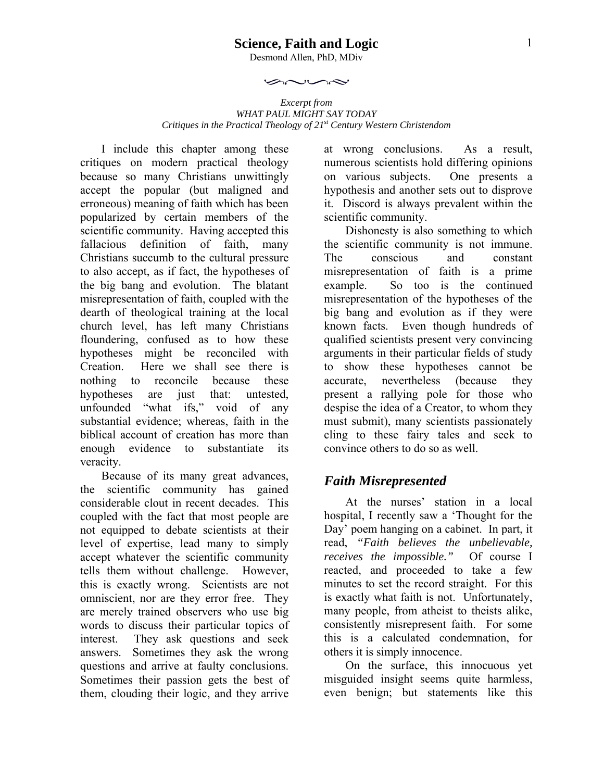#### **Science, Faith and Logic**

Desmond Allen, PhD, MDiv

بحصن

 $\sim$ 

*Excerpt from WHAT PAUL MIGHT SAY TODAY Critiques in the Practical Theology of 21<sup>st</sup> Century Western Christendom* 

I include this chapter among these critiques on modern practical theology because so many Christians unwittingly accept the popular (but maligned and erroneous) meaning of faith which has been popularized by certain members of the scientific community. Having accepted this fallacious definition of faith, many Christians succumb to the cultural pressure to also accept, as if fact, the hypotheses of the big bang and evolution. The blatant misrepresentation of faith, coupled with the dearth of theological training at the local church level, has left many Christians floundering, confused as to how these hypotheses might be reconciled with Creation. Here we shall see there is nothing to reconcile because these hypotheses are just that: untested, unfounded "what ifs," void of any substantial evidence; whereas, faith in the biblical account of creation has more than enough evidence to substantiate its veracity.

Because of its many great advances, the scientific community has gained considerable clout in recent decades. This coupled with the fact that most people are not equipped to debate scientists at their level of expertise, lead many to simply accept whatever the scientific community tells them without challenge. However, this is exactly wrong. Scientists are not omniscient, nor are they error free. They are merely trained observers who use big words to discuss their particular topics of interest. They ask questions and seek answers. Sometimes they ask the wrong questions and arrive at faulty conclusions. Sometimes their passion gets the best of them, clouding their logic, and they arrive

at wrong conclusions. As a result, numerous scientists hold differing opinions on various subjects. One presents a hypothesis and another sets out to disprove it. Discord is always prevalent within the scientific community.

Dishonesty is also something to which the scientific community is not immune. The conscious and constant misrepresentation of faith is a prime example. So too is the continued misrepresentation of the hypotheses of the big bang and evolution as if they were known facts. Even though hundreds of qualified scientists present very convincing arguments in their particular fields of study to show these hypotheses cannot be accurate, nevertheless (because they present a rallying pole for those who despise the idea of a Creator, to whom they must submit), many scientists passionately cling to these fairy tales and seek to convince others to do so as well.

#### *Faith Misrepresented*

At the nurses' station in a local hospital, I recently saw a 'Thought for the Day' poem hanging on a cabinet. In part, it read, *"Faith believes the unbelievable, receives the impossible."* Of course I reacted, and proceeded to take a few minutes to set the record straight. For this is exactly what faith is not. Unfortunately, many people, from atheist to theists alike, consistently misrepresent faith. For some this is a calculated condemnation, for others it is simply innocence.

On the surface, this innocuous yet misguided insight seems quite harmless, even benign; but statements like this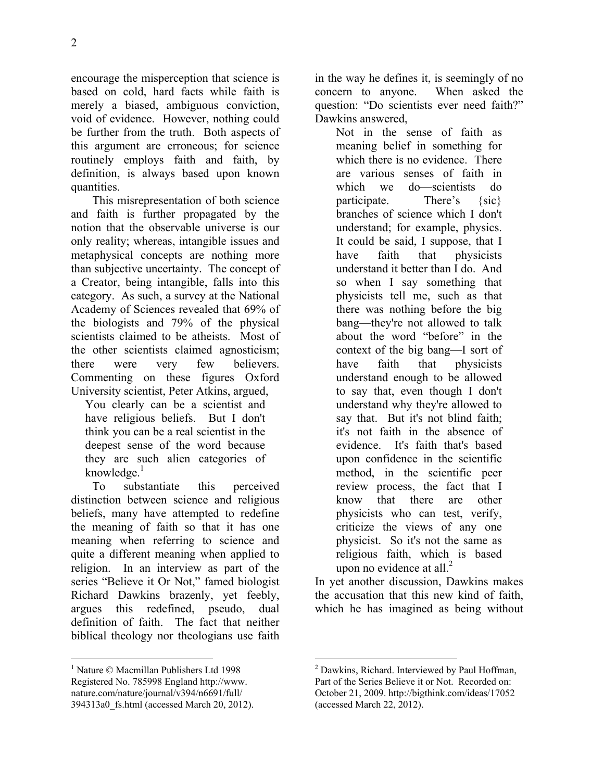encourage the misperception that science is based on cold, hard facts while faith is merely a biased, ambiguous conviction, void of evidence. However, nothing could be further from the truth. Both aspects of this argument are erroneous; for science routinely employs faith and faith, by definition, is always based upon known quantities.

This misrepresentation of both science and faith is further propagated by the notion that the observable universe is our only reality; whereas, intangible issues and metaphysical concepts are nothing more than subjective uncertainty. The concept of a Creator, being intangible, falls into this category. As such, a survey at the National Academy of Sciences revealed that 69% of the biologists and 79% of the physical scientists claimed to be atheists. Most of the other scientists claimed agnosticism; there were very few believers. Commenting on these figures Oxford University scientist, Peter Atkins, argued,

You clearly can be a scientist and have religious beliefs. But I don't think you can be a real scientist in the deepest sense of the word because they are such alien categories of knowledge. $1$ 

To substantiate this perceived distinction between science and religious beliefs, many have attempted to redefine the meaning of faith so that it has one meaning when referring to science and quite a different meaning when applied to religion. In an interview as part of the series "Believe it Or Not," famed biologist Richard Dawkins brazenly, yet feebly, argues this redefined, pseudo, dual definition of faith. The fact that neither biblical theology nor theologians use faith in the way he defines it, is seemingly of no concern to anyone. When asked the question: "Do scientists ever need faith?" Dawkins answered,

Not in the sense of faith as meaning belief in something for which there is no evidence. There are various senses of faith in which we do—scientists do participate. There's {sic} branches of science which I don't understand; for example, physics. It could be said, I suppose, that I have faith that physicists understand it better than I do. And so when I say something that physicists tell me, such as that there was nothing before the big bang—they're not allowed to talk about the word "before" in the context of the big bang—I sort of have faith that physicists understand enough to be allowed to say that, even though I don't understand why they're allowed to say that. But it's not blind faith; it's not faith in the absence of evidence. It's faith that's based upon confidence in the scientific method, in the scientific peer review process, the fact that I know that there are other physicists who can test, verify, criticize the views of any one physicist. So it's not the same as religious faith, which is based upon no evidence at all. $^{2}$ 

In yet another discussion, Dawkins makes the accusation that this new kind of faith, which he has imagined as being without

 $\overline{a}$ 1 Nature © Macmillan Publishers Ltd 1998 Registered No. 785998 England http://www. nature.com/nature/journal/v394/n6691/full/ 394313a0\_fs.html (accessed March 20, 2012).

 $\overline{a}$ <sup>2</sup> Dawkins, Richard. Interviewed by Paul Hoffman, Part of the Series Believe it or Not. Recorded on: October 21, 2009. http://bigthink.com/ideas/17052 (accessed March 22, 2012).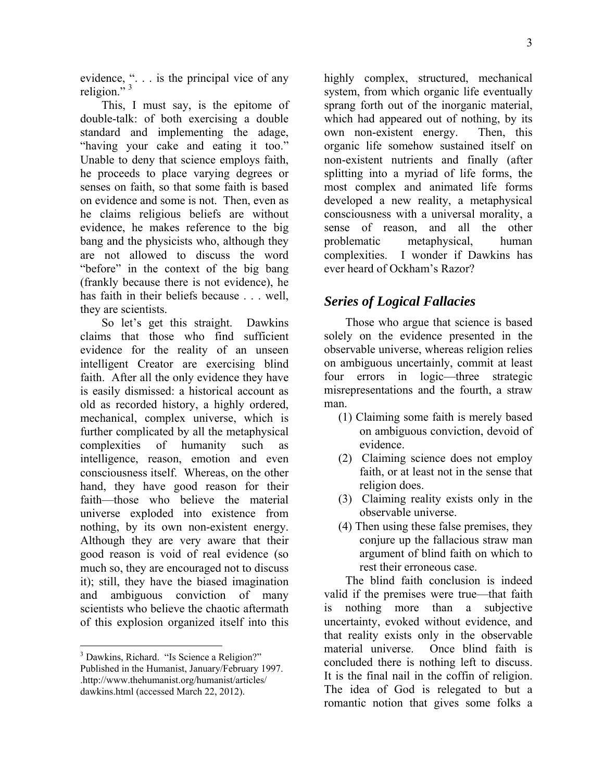evidence, ". . . is the principal vice of any religion."<sup>3</sup>

This, I must say, is the epitome of double-talk: of both exercising a double standard and implementing the adage, "having your cake and eating it too." Unable to deny that science employs faith, he proceeds to place varying degrees or senses on faith, so that some faith is based on evidence and some is not. Then, even as he claims religious beliefs are without evidence, he makes reference to the big bang and the physicists who, although they are not allowed to discuss the word "before" in the context of the big bang (frankly because there is not evidence), he has faith in their beliefs because . . . well, they are scientists.

So let's get this straight. Dawkins claims that those who find sufficient evidence for the reality of an unseen intelligent Creator are exercising blind faith. After all the only evidence they have is easily dismissed: a historical account as old as recorded history, a highly ordered, mechanical, complex universe, which is further complicated by all the metaphysical complexities of humanity such as intelligence, reason, emotion and even consciousness itself. Whereas, on the other hand, they have good reason for their faith—those who believe the material universe exploded into existence from nothing, by its own non-existent energy. Although they are very aware that their good reason is void of real evidence (so much so, they are encouraged not to discuss it); still, they have the biased imagination and ambiguous conviction of many scientists who believe the chaotic aftermath of this explosion organized itself into this

1

highly complex, structured, mechanical system, from which organic life eventually sprang forth out of the inorganic material, which had appeared out of nothing, by its own non-existent energy. Then, this organic life somehow sustained itself on non-existent nutrients and finally (after splitting into a myriad of life forms, the most complex and animated life forms developed a new reality, a metaphysical consciousness with a universal morality, a sense of reason, and all the other problematic metaphysical, human complexities. I wonder if Dawkins has ever heard of Ockham's Razor?

### *Series of Logical Fallacies*

Those who argue that science is based solely on the evidence presented in the observable universe, whereas religion relies on ambiguous uncertainly, commit at least four errors in logic—three strategic misrepresentations and the fourth, a straw man.

- (1) Claiming some faith is merely based on ambiguous conviction, devoid of evidence.
- (2) Claiming science does not employ faith, or at least not in the sense that religion does.
- (3) Claiming reality exists only in the observable universe.
- (4) Then using these false premises, they conjure up the fallacious straw man argument of blind faith on which to rest their erroneous case.

The blind faith conclusion is indeed valid if the premises were true—that faith is nothing more than a subjective uncertainty, evoked without evidence, and that reality exists only in the observable material universe. Once blind faith is concluded there is nothing left to discuss. It is the final nail in the coffin of religion. The idea of God is relegated to but a romantic notion that gives some folks a

<sup>&</sup>lt;sup>3</sup> Dawkins, Richard. "Is Science a Religion?" Published in the Humanist, January/February 1997. .http://www.thehumanist.org/humanist/articles/ dawkins.html (accessed March 22, 2012).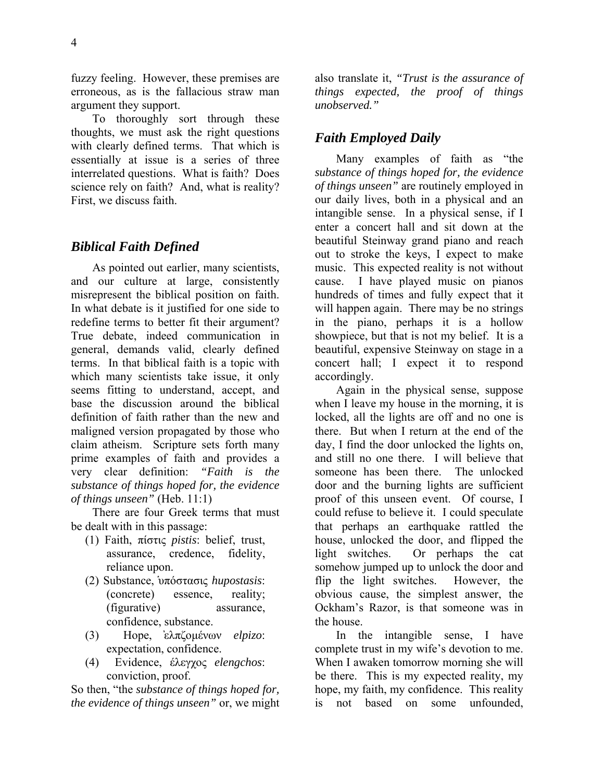4

fuzzy feeling. However, these premises are erroneous, as is the fallacious straw man argument they support.

To thoroughly sort through these thoughts, we must ask the right questions with clearly defined terms. That which is essentially at issue is a series of three interrelated questions. What is faith? Does science rely on faith? And, what is reality? First, we discuss faith.

#### *Biblical Faith Defined*

As pointed out earlier, many scientists, and our culture at large, consistently misrepresent the biblical position on faith. In what debate is it justified for one side to redefine terms to better fit their argument? True debate, indeed communication in general, demands valid, clearly defined terms. In that biblical faith is a topic with which many scientists take issue, it only seems fitting to understand, accept, and base the discussion around the biblical definition of faith rather than the new and maligned version propagated by those who claim atheism. Scripture sets forth many prime examples of faith and provides a very clear definition: *"Faith is the substance of things hoped for, the evidence of things unseen"* (Heb. 11:1)

There are four Greek terms that must be dealt with in this passage:

- (1) Faith, πίστις *pistis*: belief, trust, assurance, credence, fidelity, reliance upon.
- (2) Substance, ҅υπόστασις *hupostasis*: (concrete) essence, reality; (figurative) assurance, confidence, substance.
- (3) Hope, ̓ελπζομένων *elpizo*: expectation, confidence.
- (4) Evidence, έλεγχος *elengchos*: conviction, proof.

So then, "the *substance of things hoped for, the evidence of things unseen"* or, we might also translate it, *"Trust is the assurance of things expected, the proof of things unobserved."*

### *Faith Employed Daily*

Many examples of faith as "the *substance of things hoped for, the evidence of things unseen"* are routinely employed in our daily lives, both in a physical and an intangible sense. In a physical sense, if I enter a concert hall and sit down at the beautiful Steinway grand piano and reach out to stroke the keys, I expect to make music. This expected reality is not without cause. I have played music on pianos hundreds of times and fully expect that it will happen again. There may be no strings in the piano, perhaps it is a hollow showpiece, but that is not my belief. It is a beautiful, expensive Steinway on stage in a concert hall; I expect it to respond accordingly.

Again in the physical sense, suppose when I leave my house in the morning, it is locked, all the lights are off and no one is there. But when I return at the end of the day, I find the door unlocked the lights on, and still no one there. I will believe that someone has been there. The unlocked door and the burning lights are sufficient proof of this unseen event. Of course, I could refuse to believe it. I could speculate that perhaps an earthquake rattled the house, unlocked the door, and flipped the light switches. Or perhaps the cat somehow jumped up to unlock the door and flip the light switches. However, the obvious cause, the simplest answer, the Ockham's Razor, is that someone was in the house.

In the intangible sense, I have complete trust in my wife's devotion to me. When I awaken tomorrow morning she will be there. This is my expected reality, my hope, my faith, my confidence. This reality is not based on some unfounded,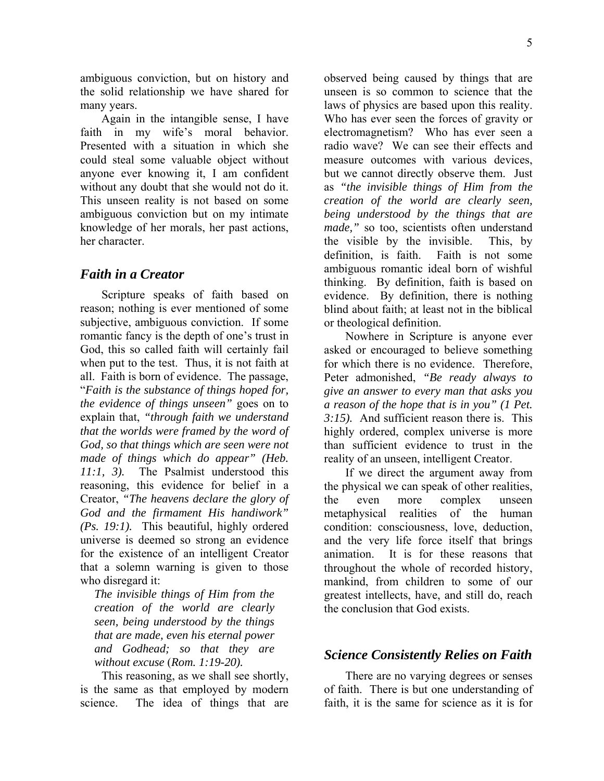5

ambiguous conviction, but on history and the solid relationship we have shared for many years.

Again in the intangible sense, I have faith in my wife's moral behavior. Presented with a situation in which she could steal some valuable object without anyone ever knowing it, I am confident without any doubt that she would not do it. This unseen reality is not based on some ambiguous conviction but on my intimate knowledge of her morals, her past actions, her character.

#### *Faith in a Creator*

Scripture speaks of faith based on reason; nothing is ever mentioned of some subjective, ambiguous conviction. If some romantic fancy is the depth of one's trust in God, this so called faith will certainly fail when put to the test. Thus, it is not faith at all. Faith is born of evidence. The passage, "*Faith is the substance of things hoped for, the evidence of things unseen"* goes on to explain that, *"through faith we understand that the worlds were framed by the word of God, so that things which are seen were not made of things which do appear" (Heb. 11:1, 3).* The Psalmist understood this reasoning, this evidence for belief in a Creator, *"The heavens declare the glory of God and the firmament His handiwork" (Ps. 19:1).* This beautiful, highly ordered universe is deemed so strong an evidence for the existence of an intelligent Creator that a solemn warning is given to those who disregard it:

*The invisible things of Him from the creation of the world are clearly seen, being understood by the things that are made, even his eternal power and Godhead; so that they are without excuse* (*Rom. 1:19-20).* 

This reasoning, as we shall see shortly, is the same as that employed by modern science. The idea of things that are observed being caused by things that are unseen is so common to science that the laws of physics are based upon this reality. Who has ever seen the forces of gravity or electromagnetism? Who has ever seen a radio wave? We can see their effects and measure outcomes with various devices, but we cannot directly observe them. Just as *"the invisible things of Him from the creation of the world are clearly seen, being understood by the things that are made,"* so too, scientists often understand the visible by the invisible. This, by definition, is faith. Faith is not some ambiguous romantic ideal born of wishful thinking. By definition, faith is based on evidence. By definition, there is nothing blind about faith; at least not in the biblical or theological definition.

Nowhere in Scripture is anyone ever asked or encouraged to believe something for which there is no evidence. Therefore, Peter admonished, *"Be ready always to give an answer to every man that asks you a reason of the hope that is in you" (1 Pet. 3:15).* And sufficient reason there is. This highly ordered, complex universe is more than sufficient evidence to trust in the reality of an unseen, intelligent Creator.

If we direct the argument away from the physical we can speak of other realities, the even more complex unseen metaphysical realities of the human condition: consciousness, love, deduction, and the very life force itself that brings animation. It is for these reasons that throughout the whole of recorded history, mankind, from children to some of our greatest intellects, have, and still do, reach the conclusion that God exists.

### *Science Consistently Relies on Faith*

There are no varying degrees or senses of faith. There is but one understanding of faith, it is the same for science as it is for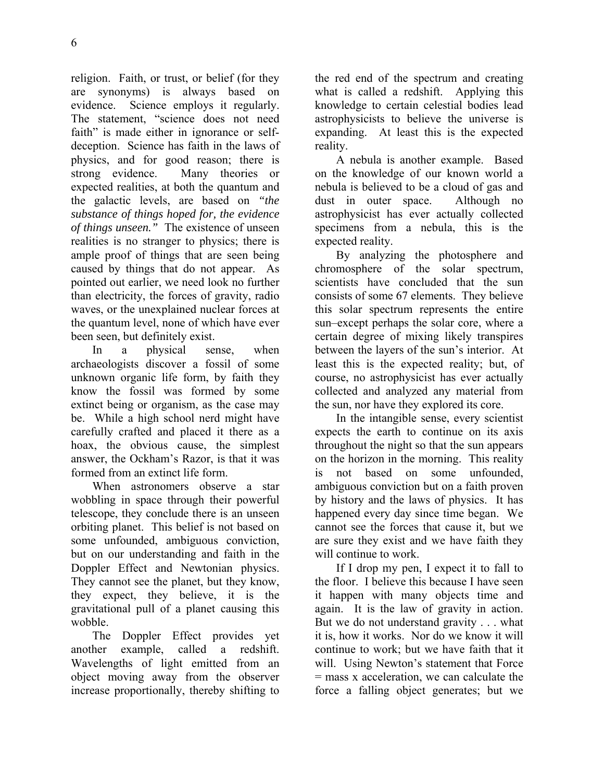religion. Faith, or trust, or belief (for they are synonyms) is always based on evidence. Science employs it regularly. The statement, "science does not need faith" is made either in ignorance or selfdeception. Science has faith in the laws of physics, and for good reason; there is strong evidence. Many theories or expected realities, at both the quantum and the galactic levels, are based on *"the substance of things hoped for, the evidence of things unseen."* The existence of unseen realities is no stranger to physics; there is ample proof of things that are seen being caused by things that do not appear. As pointed out earlier, we need look no further than electricity, the forces of gravity, radio waves, or the unexplained nuclear forces at the quantum level, none of which have ever been seen, but definitely exist.

In a physical sense, when archaeologists discover a fossil of some unknown organic life form, by faith they know the fossil was formed by some extinct being or organism, as the case may be. While a high school nerd might have carefully crafted and placed it there as a hoax, the obvious cause, the simplest answer, the Ockham's Razor, is that it was formed from an extinct life form.

When astronomers observe a star wobbling in space through their powerful telescope, they conclude there is an unseen orbiting planet. This belief is not based on some unfounded, ambiguous conviction, but on our understanding and faith in the Doppler Effect and Newtonian physics. They cannot see the planet, but they know, they expect, they believe, it is the gravitational pull of a planet causing this wobble.

The Doppler Effect provides yet another example, called a redshift. Wavelengths of light emitted from an object moving away from the observer increase proportionally, thereby shifting to the red end of the spectrum and creating what is called a redshift. Applying this knowledge to certain celestial bodies lead astrophysicists to believe the universe is expanding. At least this is the expected reality.

A nebula is another example. Based on the knowledge of our known world a nebula is believed to be a cloud of gas and dust in outer space. Although no astrophysicist has ever actually collected specimens from a nebula, this is the expected reality.

By analyzing the photosphere and chromosphere of the solar spectrum, scientists have concluded that the sun consists of some 67 elements. They believe this solar spectrum represents the entire sun–except perhaps the solar core, where a certain degree of mixing likely transpires between the layers of the sun's interior. At least this is the expected reality; but, of course, no astrophysicist has ever actually collected and analyzed any material from the sun, nor have they explored its core.

In the intangible sense, every scientist expects the earth to continue on its axis throughout the night so that the sun appears on the horizon in the morning. This reality is not based on some unfounded, ambiguous conviction but on a faith proven by history and the laws of physics. It has happened every day since time began. We cannot see the forces that cause it, but we are sure they exist and we have faith they will continue to work.

If I drop my pen, I expect it to fall to the floor. I believe this because I have seen it happen with many objects time and again. It is the law of gravity in action. But we do not understand gravity . . . what it is, how it works. Nor do we know it will continue to work; but we have faith that it will. Using Newton's statement that Force = mass x acceleration, we can calculate the force a falling object generates; but we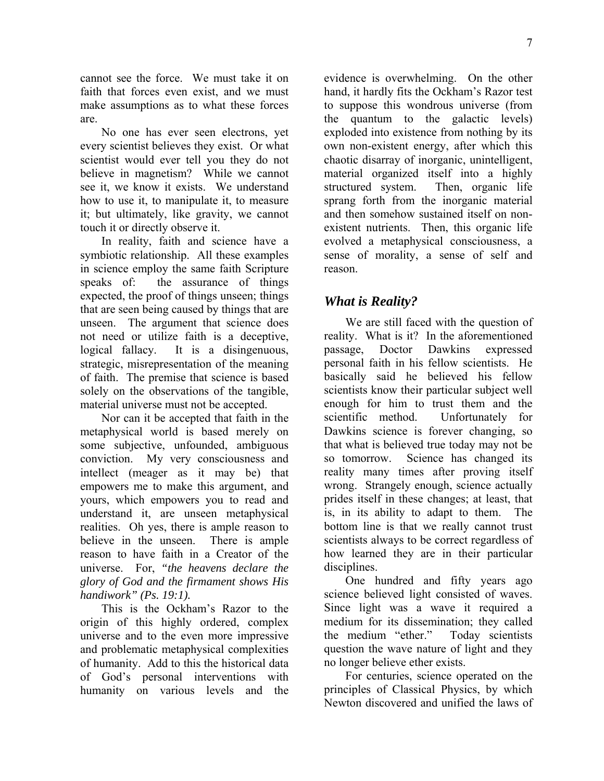cannot see the force. We must take it on faith that forces even exist, and we must make assumptions as to what these forces are.

No one has ever seen electrons, yet every scientist believes they exist. Or what scientist would ever tell you they do not believe in magnetism? While we cannot see it, we know it exists. We understand how to use it, to manipulate it, to measure it; but ultimately, like gravity, we cannot touch it or directly observe it.

In reality, faith and science have a symbiotic relationship. All these examples in science employ the same faith Scripture speaks of: the assurance of things expected, the proof of things unseen; things that are seen being caused by things that are unseen. The argument that science does not need or utilize faith is a deceptive, logical fallacy. It is a disingenuous, strategic, misrepresentation of the meaning of faith. The premise that science is based solely on the observations of the tangible, material universe must not be accepted.

Nor can it be accepted that faith in the metaphysical world is based merely on some subjective, unfounded, ambiguous conviction. My very consciousness and intellect (meager as it may be) that empowers me to make this argument, and yours, which empowers you to read and understand it, are unseen metaphysical realities. Oh yes, there is ample reason to believe in the unseen. There is ample reason to have faith in a Creator of the universe. For, *"the heavens declare the glory of God and the firmament shows His handiwork" (Ps. 19:1).*

This is the Ockham's Razor to the origin of this highly ordered, complex universe and to the even more impressive and problematic metaphysical complexities of humanity. Add to this the historical data of God's personal interventions with humanity on various levels and the evidence is overwhelming. On the other hand, it hardly fits the Ockham's Razor test to suppose this wondrous universe (from the quantum to the galactic levels) exploded into existence from nothing by its own non-existent energy, after which this chaotic disarray of inorganic, unintelligent, material organized itself into a highly structured system. Then, organic life sprang forth from the inorganic material and then somehow sustained itself on nonexistent nutrients. Then, this organic life evolved a metaphysical consciousness, a sense of morality, a sense of self and reason.

### *What is Reality?*

We are still faced with the question of reality. What is it? In the aforementioned passage, Doctor Dawkins expressed personal faith in his fellow scientists. He basically said he believed his fellow scientists know their particular subject well enough for him to trust them and the scientific method. Unfortunately for Dawkins science is forever changing, so that what is believed true today may not be so tomorrow. Science has changed its reality many times after proving itself wrong. Strangely enough, science actually prides itself in these changes; at least, that is, in its ability to adapt to them. The bottom line is that we really cannot trust scientists always to be correct regardless of how learned they are in their particular disciplines.

One hundred and fifty years ago science believed light consisted of waves. Since light was a wave it required a medium for its dissemination; they called the medium "ether." Today scientists question the wave nature of light and they no longer believe ether exists.

For centuries, science operated on the principles of Classical Physics, by which Newton discovered and unified the laws of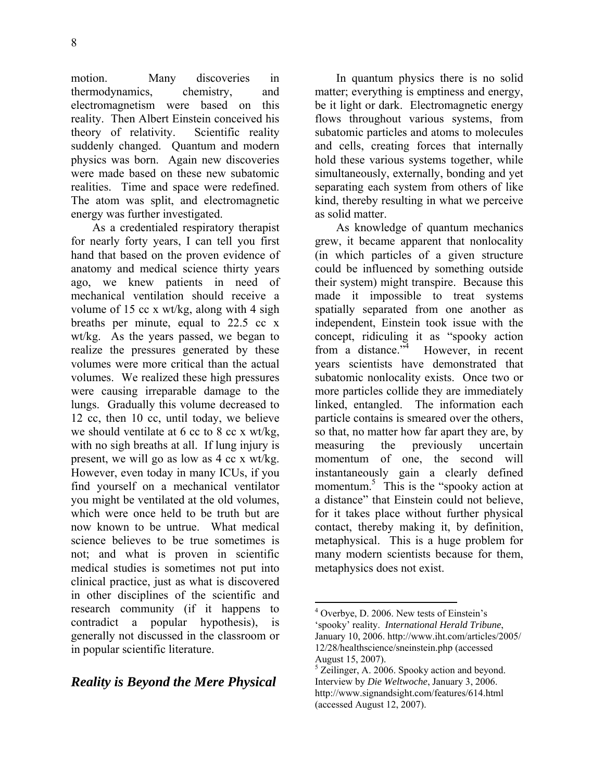motion. Many discoveries in thermodynamics, chemistry, and electromagnetism were based on this reality. Then Albert Einstein conceived his theory of relativity. Scientific reality suddenly changed. Quantum and modern physics was born. Again new discoveries were made based on these new subatomic realities. Time and space were redefined. The atom was split, and electromagnetic energy was further investigated.

As a credentialed respiratory therapist for nearly forty years, I can tell you first hand that based on the proven evidence of anatomy and medical science thirty years ago, we knew patients in need of mechanical ventilation should receive a volume of 15 cc x wt/kg, along with 4 sigh breaths per minute, equal to 22.5 cc x wt/kg. As the years passed, we began to realize the pressures generated by these volumes were more critical than the actual volumes. We realized these high pressures were causing irreparable damage to the lungs. Gradually this volume decreased to 12 cc, then 10 cc, until today, we believe we should ventilate at 6 cc to 8 cc x wt/kg, with no sigh breaths at all. If lung injury is present, we will go as low as 4 cc x wt/kg. However, even today in many ICUs, if you find yourself on a mechanical ventilator you might be ventilated at the old volumes, which were once held to be truth but are now known to be untrue. What medical science believes to be true sometimes is not; and what is proven in scientific medical studies is sometimes not put into clinical practice, just as what is discovered in other disciplines of the scientific and research community (if it happens to contradict a popular hypothesis), is generally not discussed in the classroom or in popular scientific literature.

# *Reality is Beyond the Mere Physical*

In quantum physics there is no solid matter; everything is emptiness and energy, be it light or dark. Electromagnetic energy flows throughout various systems, from subatomic particles and atoms to molecules and cells, creating forces that internally hold these various systems together, while simultaneously, externally, bonding and yet separating each system from others of like kind, thereby resulting in what we perceive as solid matter.

As knowledge of quantum mechanics grew, it became apparent that nonlocality (in which particles of a given structure could be influenced by something outside their system) might transpire. Because this made it impossible to treat systems spatially separated from one another as independent, Einstein took issue with the concept, ridiculing it as "spooky action from a distance."<sup>4</sup> However, in recent years scientists have demonstrated that subatomic nonlocality exists. Once two or more particles collide they are immediately linked, entangled. The information each particle contains is smeared over the others, so that, no matter how far apart they are, by measuring the previously uncertain momentum of one, the second will instantaneously gain a clearly defined momentum.<sup>5</sup> This is the "spooky action at a distance" that Einstein could not believe, for it takes place without further physical contact, thereby making it, by definition, metaphysical. This is a huge problem for many modern scientists because for them, metaphysics does not exist.

 $\overline{a}$ 

<sup>&</sup>lt;sup>4</sup> Overbye, D. 2006. New tests of Einstein's 'spooky' reality. *International Herald Tribune*, January 10, 2006. http://www.iht.com/articles/2005/ 12/28/healthscience/sneinstein.php (accessed August 15, 2007).

<sup>&</sup>lt;sup>5</sup> Zeilinger, A. 2006. Spooky action and beyond. Interview by *Die Weltwoche*, January 3, 2006. http://www.signandsight.com/features/614.html (accessed August 12, 2007).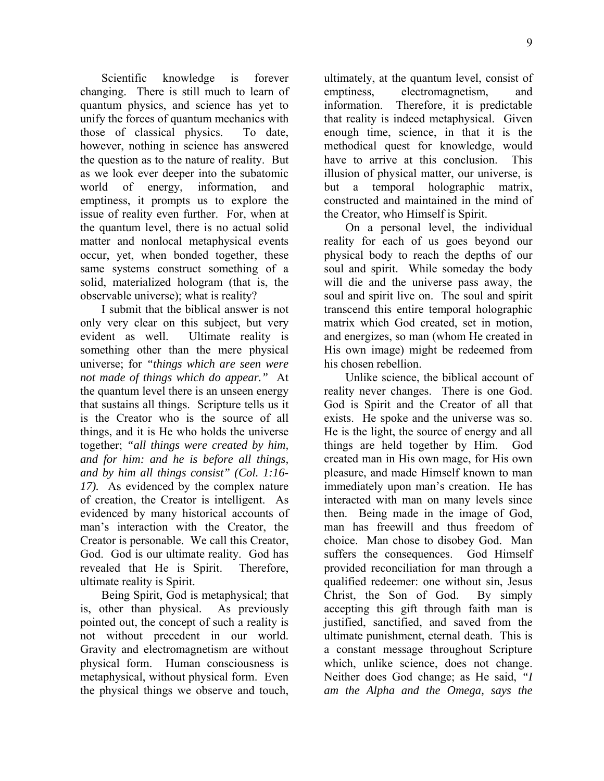Scientific knowledge is forever changing. There is still much to learn of quantum physics, and science has yet to unify the forces of quantum mechanics with those of classical physics. To date, however, nothing in science has answered the question as to the nature of reality. But as we look ever deeper into the subatomic world of energy, information, and emptiness, it prompts us to explore the issue of reality even further. For, when at the quantum level, there is no actual solid matter and nonlocal metaphysical events occur, yet, when bonded together, these same systems construct something of a solid, materialized hologram (that is, the observable universe); what is reality?

I submit that the biblical answer is not only very clear on this subject, but very evident as well. Ultimate reality is something other than the mere physical universe; for *"things which are seen were not made of things which do appear."* At the quantum level there is an unseen energy that sustains all things. Scripture tells us it is the Creator who is the source of all things, and it is He who holds the universe together; *"all things were created by him, and for him: and he is before all things, and by him all things consist" (Col. 1:16- 17).* As evidenced by the complex nature of creation, the Creator is intelligent. As evidenced by many historical accounts of man's interaction with the Creator, the Creator is personable. We call this Creator, God. God is our ultimate reality. God has revealed that He is Spirit. Therefore, ultimate reality is Spirit.

Being Spirit, God is metaphysical; that is, other than physical. As previously pointed out, the concept of such a reality is not without precedent in our world. Gravity and electromagnetism are without physical form. Human consciousness is metaphysical, without physical form. Even the physical things we observe and touch, ultimately, at the quantum level, consist of emptiness, electromagnetism, and information. Therefore, it is predictable that reality is indeed metaphysical. Given enough time, science, in that it is the methodical quest for knowledge, would have to arrive at this conclusion. This illusion of physical matter, our universe, is but a temporal holographic matrix, constructed and maintained in the mind of the Creator, who Himself is Spirit.

On a personal level, the individual reality for each of us goes beyond our physical body to reach the depths of our soul and spirit. While someday the body will die and the universe pass away, the soul and spirit live on. The soul and spirit transcend this entire temporal holographic matrix which God created, set in motion, and energizes, so man (whom He created in His own image) might be redeemed from his chosen rebellion.

Unlike science, the biblical account of reality never changes. There is one God. God is Spirit and the Creator of all that exists. He spoke and the universe was so. He is the light, the source of energy and all things are held together by Him. God created man in His own mage, for His own pleasure, and made Himself known to man immediately upon man's creation. He has interacted with man on many levels since then. Being made in the image of God, man has freewill and thus freedom of choice. Man chose to disobey God. Man suffers the consequences. God Himself provided reconciliation for man through a qualified redeemer: one without sin, Jesus Christ, the Son of God. By simply accepting this gift through faith man is justified, sanctified, and saved from the ultimate punishment, eternal death. This is a constant message throughout Scripture which, unlike science, does not change. Neither does God change; as He said, *"I am the Alpha and the Omega, says the*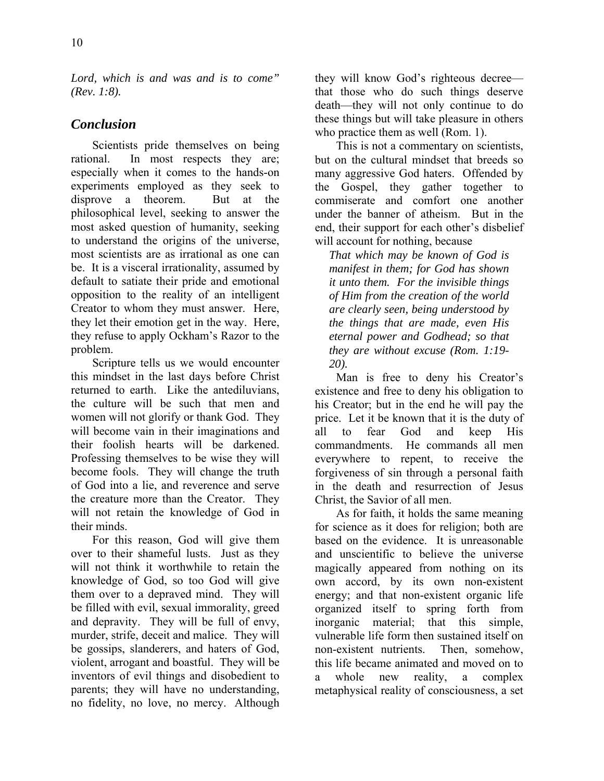*Lord, which is and was and is to come" (Rev. 1:8).* 

## *Conclusion*

Scientists pride themselves on being rational. In most respects they are; especially when it comes to the hands-on experiments employed as they seek to disprove a theorem. But at the philosophical level, seeking to answer the most asked question of humanity, seeking to understand the origins of the universe, most scientists are as irrational as one can be. It is a visceral irrationality, assumed by default to satiate their pride and emotional opposition to the reality of an intelligent Creator to whom they must answer. Here, they let their emotion get in the way. Here, they refuse to apply Ockham's Razor to the problem.

Scripture tells us we would encounter this mindset in the last days before Christ returned to earth. Like the antediluvians, the culture will be such that men and women will not glorify or thank God. They will become vain in their imaginations and their foolish hearts will be darkened. Professing themselves to be wise they will become fools. They will change the truth of God into a lie, and reverence and serve the creature more than the Creator. They will not retain the knowledge of God in their minds.

For this reason, God will give them over to their shameful lusts. Just as they will not think it worthwhile to retain the knowledge of God, so too God will give them over to a depraved mind. They will be filled with evil, sexual immorality, greed and depravity. They will be full of envy, murder, strife, deceit and malice. They will be gossips, slanderers, and haters of God, violent, arrogant and boastful. They will be inventors of evil things and disobedient to parents; they will have no understanding, no fidelity, no love, no mercy. Although they will know God's righteous decree that those who do such things deserve death—they will not only continue to do these things but will take pleasure in others who practice them as well (Rom. 1).

This is not a commentary on scientists, but on the cultural mindset that breeds so many aggressive God haters. Offended by the Gospel, they gather together to commiserate and comfort one another under the banner of atheism. But in the end, their support for each other's disbelief will account for nothing, because

*That which may be known of God is manifest in them; for God has shown it unto them. For the invisible things of Him from the creation of the world are clearly seen, being understood by the things that are made, even His eternal power and Godhead; so that they are without excuse (Rom. 1:19- 20).*

Man is free to deny his Creator's existence and free to deny his obligation to his Creator; but in the end he will pay the price. Let it be known that it is the duty of all to fear God and keep His commandments. He commands all men everywhere to repent, to receive the forgiveness of sin through a personal faith in the death and resurrection of Jesus Christ, the Savior of all men.

As for faith, it holds the same meaning for science as it does for religion; both are based on the evidence. It is unreasonable and unscientific to believe the universe magically appeared from nothing on its own accord, by its own non-existent energy; and that non-existent organic life organized itself to spring forth from inorganic material; that this simple, vulnerable life form then sustained itself on non-existent nutrients. Then, somehow, this life became animated and moved on to whole new reality, a complex metaphysical reality of consciousness, a set